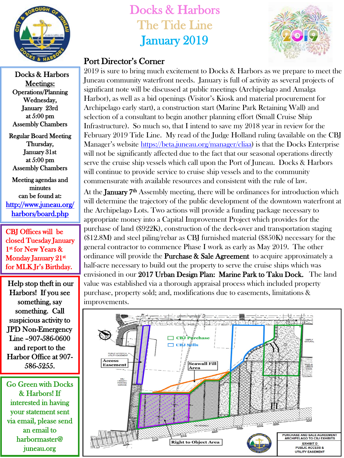

Docks & Harbors Meetings: Operations/Planning Wednesday, January 23rd at 5:00 pm Assembly Chambers

Regular Board Meeting Thursday, January 31st at 5:00 pm Assembly Chambers

Meeting agendas and minutes can be found at: [http://www.juneau.org/](http://www.juneau.org/harbors/board.php)  [harbors/board.php](http://www.juneau.org/harbors/board.php) 

CBJ Offices will be closed Tuesday January 1<sup>st</sup> for New Years & Monday January 21st for MLK Jr's Birthday.

 Help stop theft in our Harbors! If you see something, say something. Call suspicious activity to JPD Non-Emergency Line –907-586-0600 and report to the Harbor Office at 907- 586-5255.

Go Green with Docks & Harbors! If interested in having your statement sent via email, please send an email to harbormaster@ juneau.org

# Docks & Harbors The Tide Line January 2019



## Port Director's Corner

2019 is sure to bring much excitement to Docks & Harbors as we prepare to meet the Juneau community waterfront needs. January is full of activity as several projects of significant note will be discussed at public meetings (Archipelago and Amalga Harbor), as well as a bid openings (Visitor's Kiosk and material procurement for Archipelago early start), a construction start (Marine Park Retaining Wall) and selection of a consultant to begin another planning effort (Small Cruise Ship Infrastructure). So much so, that I intend to save my 2018 year in review for the February 2019 Tide Line. My read of the Judge Holland ruling (available on the CBJ Manager's website [https://beta.juneau.org/manager/cliaa\)](https://beta.juneau.org/manager/cliaa) is that the Docks Enterprise will not be significantly affected due to the fact that our seasonal operations directly serve the cruise ship vessels which call upon the Port of Juneau. Docks & Harbors will continue to provide service to cruise ship vessels and to the community commensurate with available resources and consistent with the rule of law.

At the January 7<sup>th</sup> Assembly meeting, there will be ordinances for introduction which will determine the trajectory of the public development of the downtown waterfront at the Archipelago Lots. Two actions will provide a funding package necessary to appropriate money into a Capital Improvement Project which provides for the purchase of land (\$922K), construction of the deck-over and transportation staging (\$12.8M) and steel piling/rebar as CBJ furnished material (\$850K) necessary for the general contractor to commence Phase I work as early as May 2019. The other ordinance will provide the Purchase & Sale Agreement to acquire approximately a half-acre necessary to build out the property to serve the cruise ships which was envisioned in our 2017 Urban Design Plan: Marine Park to Taku Dock. The land value was established via a thorough appraisal process which included property purchase, property sold; and, modifications due to easements, limitations & improvements.